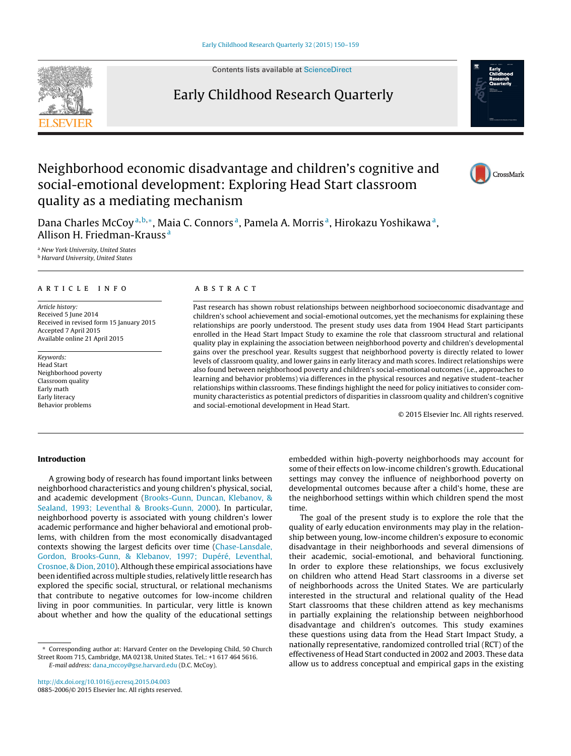Contents lists available at [ScienceDirect](http://www.sciencedirect.com/science/journal/08852006)

# Early Childhood Research Quarterly



Dana Charles McCoy<sup>a, b,\*</sup>, Maia C. Connors<sup>a</sup>, Pamela A. Morris<sup>a</sup>, Hirokazu Yoshikawa<sup>a</sup>, Allison H. Friedman-Krauss <sup>a</sup>

a New York University, United States **b** Harvard University, United States

## a r t i c l e i n f o

Article history: Received 5 June 2014 Received in revised form 15 January 2015 Accepted 7 April 2015 Available online 21 April 2015

Keywords: Head Start Neighborhood poverty Classroom quality Early math Early literacy Behavior problems

### A B S T R A C T

Past research has shown robust relationships between neighborhood socioeconomic disadvantage and children's school achievement and social-emotional outcomes, yet the mechanisms for explaining these relationships are poorly understood. The present study uses data from 1904 Head Start participants enrolled in the Head Start Impact Study to examine the role that classroom structural and relational quality play in explaining the association between neighborhood poverty and children's developmental gains over the preschool year. Results suggest that neighborhood poverty is directly related to lower levels of classroom quality, and lower gains in early literacy and math scores. Indirect relationships were also found between neighborhood poverty and children's social-emotional outcomes (i.e., approaches to learning and behavior problems) via differences in the physical resources and negative student–teacher relationships within classrooms. These findings highlight the need for policy initiatives to consider community characteristics as potential predictors of disparities in classroom quality and children's cognitive and social-emotional development in Head Start.

© 2015 Elsevier Inc. All rights reserved.

### **Introduction**

A growing body of research has found important links between neighborhood characteristics and young children's physical, social, and academic development [\(Brooks-Gunn,](#page--1-0) [Duncan,](#page--1-0) [Klebanov,](#page--1-0) [&](#page--1-0) [Sealand,](#page--1-0) [1993;](#page--1-0) [Leventhal](#page--1-0) [&](#page--1-0) [Brooks-Gunn,](#page--1-0) [2000\).](#page--1-0) In particular, neighborhood poverty is associated with young children's lower academic performance and higher behavioral and emotional problems, with children from the most economically disadvantaged contexts showing the largest deficits over time ([Chase-Lansdale,](#page--1-0) [Gordon,](#page--1-0) [Brooks-Gunn,](#page--1-0) [&](#page--1-0) [Klebanov,](#page--1-0) [1997;](#page--1-0) [Dupéré,](#page--1-0) [Leventhal,](#page--1-0) [Crosnoe,](#page--1-0) [&](#page--1-0) [Dion,](#page--1-0) [2010\).](#page--1-0) Although these empirical associations have been identified across multiple studies, relatively little research has explored the specific social, structural, or relational mechanisms that contribute to negative outcomes for low-income children living in poor communities. In particular, very little is known about whether and how the quality of the educational settings

∗ Corresponding author at: Harvard Center on the Developing Child, 50 Church Street Room 715, Cambridge, MA 02138, United States. Tel.: +1 617 464 5616. E-mail address: dana [mccoy@gse.harvard.edu](mailto:dana_mccoy@gse.harvard.edu) (D.C. McCoy).

embedded within high-poverty neighborhoods may account for some of their effects on low-income children's growth. Educational settings may convey the influence of neighborhood poverty on developmental outcomes because after a child's home, these are the neighborhood settings within which children spend the most time.

The goal of the present study is to explore the role that the quality of early education environments may play in the relationship between young, low-income children's exposure to economic disadvantage in their neighborhoods and several dimensions of their academic, social-emotional, and behavioral functioning. In order to explore these relationships, we focus exclusively on children who attend Head Start classrooms in a diverse set of neighborhoods across the United States. We are particularly interested in the structural and relational quality of the Head Start classrooms that these children attend as key mechanisms in partially explaining the relationship between neighborhood disadvantage and children's outcomes. This study examines these questions using data from the Head Start Impact Study, a nationally representative, randomized controlled trial (RCT) of the effectiveness of Head Start conducted in 2002 and 2003. These data allow us to address conceptual and empirical gaps in the existing



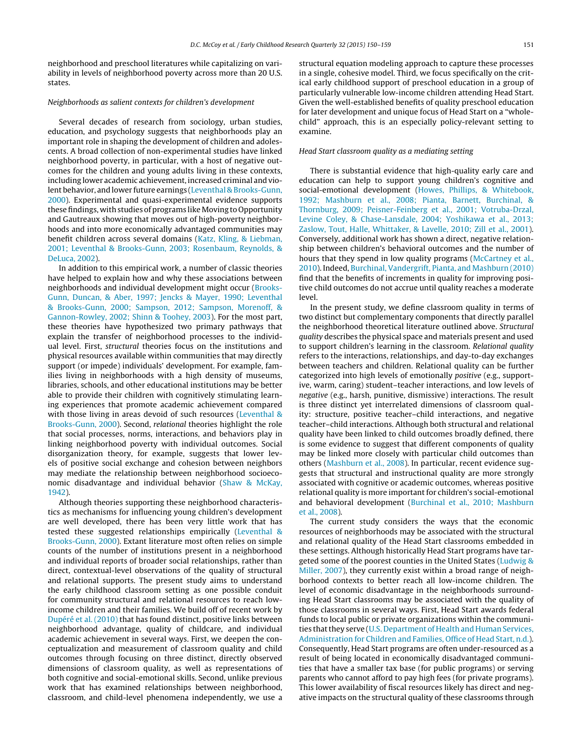neighborhood and preschool literatures while capitalizing on variability in levels of neighborhood poverty across more than 20 U.S. states.

#### Neighborhoods as salient contexts for children's development

Several decades of research from sociology, urban studies, education, and psychology suggests that neighborhoods play an important role in shaping the development of children and adolescents. A broad collection of non-experimental studies have linked neighborhood poverty, in particular, with a host of negative outcomes for the children and young adults living in these contexts, including lower academic achievement, increased criminal and violent behavior, and lower future earnings [\(Leventhal](#page--1-0) [&](#page--1-0) [Brooks-Gunn,](#page--1-0) [2000\).](#page--1-0) Experimental and quasi-experimental evidence supports these findings, with studies of programs like Moving to Opportunity and Gautreaux showing that moves out of high-poverty neighborhoods and into more economically advantaged communities may benefit children across several domains ([Katz,](#page--1-0) [Kling,](#page--1-0) [&](#page--1-0) [Liebman,](#page--1-0) [2001;](#page--1-0) [Leventhal](#page--1-0) [&](#page--1-0) [Brooks-Gunn,](#page--1-0) [2003;](#page--1-0) [Rosenbaum,](#page--1-0) [Reynolds,](#page--1-0) [&](#page--1-0) [DeLuca,](#page--1-0) [2002\).](#page--1-0)

In addition to this empirical work, a number of classic theories have helped to explain how and why these associations between neighborhoods and individual development might occur ([Brooks-](#page--1-0)Gunn, [Duncan,](#page--1-0) [&](#page--1-0) [Aber,](#page--1-0) [1997;](#page--1-0) [Jencks](#page--1-0) [&](#page--1-0) [Mayer,](#page--1-0) [1990;](#page--1-0) [Leventhal](#page--1-0) [&](#page--1-0) [Brooks-Gunn,](#page--1-0) [2000;](#page--1-0) [Sampson,](#page--1-0) [2012;](#page--1-0) [Sampson,](#page--1-0) [Morenoff,](#page--1-0) [&](#page--1-0) [Gannon-Rowley,](#page--1-0) [2002;](#page--1-0) [Shinn](#page--1-0) [&](#page--1-0) [Toohey,](#page--1-0) [2003\).](#page--1-0) For the most part, these theories have hypothesized two primary pathways that explain the transfer of neighborhood processes to the individual level. First, structural theories focus on the institutions and physical resources available within communities that may directly support (or impede) individuals' development. For example, families living in neighborhoods with a high density of museums, libraries, schools, and other educational institutions may be better able to provide their children with cognitively stimulating learning experiences that promote academic achievement compared with those living in areas devoid of such resources [\(Leventhal](#page--1-0) [&](#page--1-0) [Brooks-Gunn,](#page--1-0) [2000\).](#page--1-0) Second, relational theories highlight the role that social processes, norms, interactions, and behaviors play in linking neighborhood poverty with individual outcomes. Social disorganization theory, for example, suggests that lower levels of positive social exchange and cohesion between neighbors may mediate the relationship between neighborhood socioeconomic disadvantage and individual behavior [\(Shaw](#page--1-0) [&](#page--1-0) [McKay,](#page--1-0) [1942\).](#page--1-0)

Although theories supporting these neighborhood characteristics as mechanisms for influencing young children's development are well developed, there has been very little work that has tested these suggested relationships empirically [\(Leventhal](#page--1-0) [&](#page--1-0) [Brooks-Gunn,](#page--1-0) [2000\).](#page--1-0) Extant literature most often relies on simple counts of the number of institutions present in a neighborhood and individual reports of broader social relationships, rather than direct, contextual-level observations of the quality of structural and relational supports. The present study aims to understand the early childhood classroom setting as one possible conduit for community structural and relational resources to reach lowincome children and their families. We build off of recent work by [Dupéré](#page--1-0) et [al.](#page--1-0) [\(2010\)](#page--1-0) that has found distinct, positive links between neighborhood advantage, quality of childcare, and individual academic achievement in several ways. First, we deepen the conceptualization and measurement of classroom quality and child outcomes through focusing on three distinct, directly observed dimensions of classroom quality, as well as representations of both cognitive and social-emotional skills. Second, unlike previous work that has examined relationships between neighborhood, classroom, and child-level phenomena independently, we use a structural equation modeling approach to capture these processes in a single, cohesive model. Third, we focus specifically on the critical early childhood support of preschool education in a group of particularly vulnerable low-income children attending Head Start. Given the well-established benefits of quality preschool education for later development and unique focus of Head Start on a "wholechild" approach, this is an especially policy-relevant setting to examine.

#### Head Start classroom quality as a mediating setting

There is substantial evidence that high-quality early care and education can help to support young children's cognitive and social-emotional development ([Howes,](#page--1-0) [Phillips,](#page--1-0) [&](#page--1-0) [Whitebook,](#page--1-0) [1992;](#page--1-0) [Mashburn](#page--1-0) et [al.,](#page--1-0) [2008;](#page--1-0) [Pianta,](#page--1-0) [Barnett,](#page--1-0) [Burchinal,](#page--1-0) [&](#page--1-0) [Thornburg,](#page--1-0) [2009;](#page--1-0) [Peisner-Feinberg](#page--1-0) et [al.,](#page--1-0) [2001;](#page--1-0) [Votruba-Drzal,](#page--1-0) [Levine](#page--1-0) [Coley,](#page--1-0) [&](#page--1-0) [Chase-Lansdale,](#page--1-0) [2004;](#page--1-0) [Yoshikawa](#page--1-0) et [al.,](#page--1-0) [2013;](#page--1-0) [Zaslow,](#page--1-0) [Tout,](#page--1-0) [Halle,](#page--1-0) [Whittaker,](#page--1-0) [&](#page--1-0) [Lavelle,](#page--1-0) [2010;](#page--1-0) [Zill](#page--1-0) et [al.,](#page--1-0) [2001\).](#page--1-0) Conversely, additional work has shown a direct, negative relationship between children's behavioral outcomes and the number of hours that they spend in low quality programs ([McCartney](#page--1-0) et [al.,](#page--1-0) [2010\).](#page--1-0) Indeed, [Burchinal,](#page--1-0) [Vandergrift,](#page--1-0) [Pianta,](#page--1-0) [and](#page--1-0) [Mashburn](#page--1-0) [\(2010\)](#page--1-0) find that the benefits of increments in quality for improving positive child outcomes do not accrue until quality reaches a moderate level.

In the present study, we define classroom quality in terms of two distinct but complementary components that directly parallel the neighborhood theoretical literature outlined above. Structural quality describes the physical space and materials present and used to support children's learning in the classroom. Relational quality refers to the interactions, relationships, and day-to-day exchanges between teachers and children. Relational quality can be further categorized into high levels of emotionally positive (e.g., supportive, warm, caring) student–teacher interactions, and low levels of negative (e.g., harsh, punitive, dismissive) interactions. The result is three distinct yet interrelated dimensions of classroom quality: structure, positive teacher–child interactions, and negative teacher–child interactions. Although both structural and relational quality have been linked to child outcomes broadly defined, there is some evidence to suggest that different components of quality may be linked more closely with particular child outcomes than others ([Mashburn](#page--1-0) et [al.,](#page--1-0) [2008\).](#page--1-0) In particular, recent evidence suggests that structural and instructional quality are more strongly associated with cognitive or academic outcomes, whereas positive relational quality is more important for children's social-emotional and behavioral development [\(Burchinal](#page--1-0) et [al.,](#page--1-0) [2010;](#page--1-0) [Mashburn](#page--1-0) et [al.,](#page--1-0) [2008\).](#page--1-0)

The current study considers the ways that the economic resources of neighborhoods may be associated with the structural and relational quality of the Head Start classrooms embedded in these settings. Although historically Head Start programs have targeted some of the poorest counties in the United States ([Ludwig](#page--1-0) [&](#page--1-0) [Miller,](#page--1-0) [2007\),](#page--1-0) they currently exist within a broad range of neighborhood contexts to better reach all low-income children. The level of economic disadvantage in the neighborhoods surrounding Head Start classrooms may be associated with the quality of those classrooms in several ways. First, Head Start awards federal funds to local public or private organizations within the communi-ties that they serve [\(U.S.](#page--1-0) [Department](#page--1-0) [of](#page--1-0) [Health](#page--1-0) [and](#page--1-0) [Human](#page--1-0) [Services,](#page--1-0) [Administration](#page--1-0) [for](#page--1-0) [Children](#page--1-0) [and](#page--1-0) [Families,](#page--1-0) [Office](#page--1-0) [of](#page--1-0) [Head](#page--1-0) [Start,](#page--1-0) [n.d.\).](#page--1-0) Consequently, Head Start programs are often under-resourced as a result of being located in economically disadvantaged communities that have a smaller tax base (for public programs) or serving parents who cannot afford to pay high fees (for private programs). This lower availability of fiscal resources likely has direct and negative impacts on the structural quality of these classrooms through